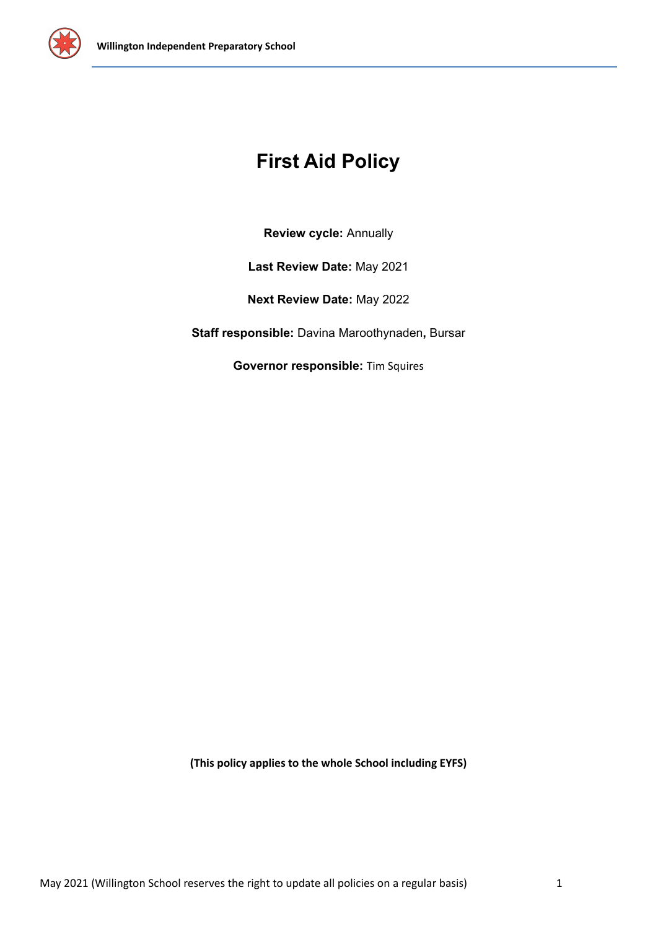

# **First Aid Policy**

**Review cycle:** Annually

**Last Review Date:** May 2021

**Next Review Date:** May 2022

**Staff responsible:** Davina Maroothynaden**,** Bursar

**Governor responsible:** Tim Squires

**(This policy applies to the whole School including EYFS)**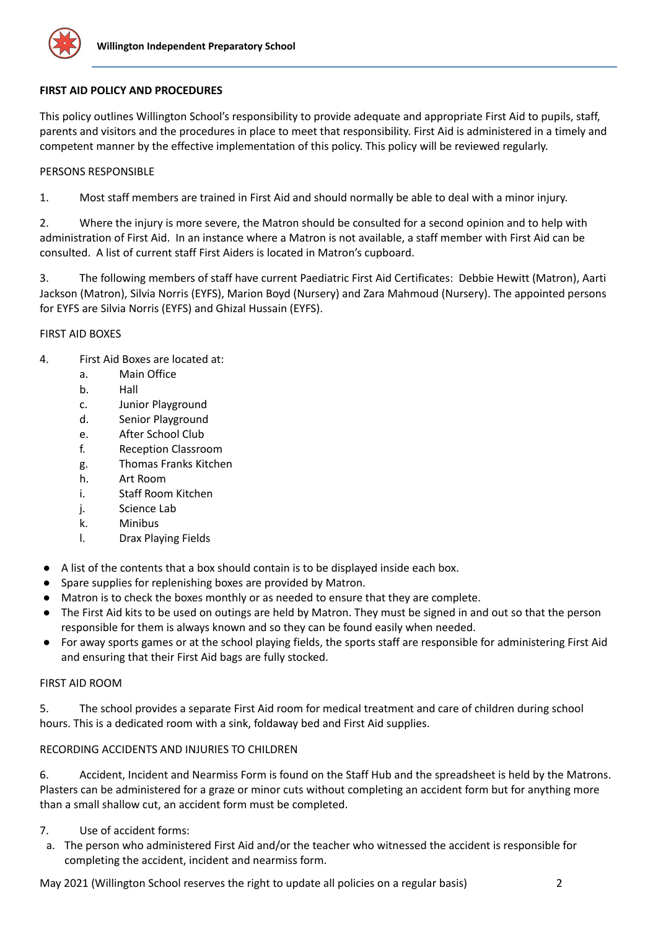

# **FIRST AID POLICY AND PROCEDURES**

This policy outlines Willington School's responsibility to provide adequate and appropriate First Aid to pupils, staff, parents and visitors and the procedures in place to meet that responsibility. First Aid is administered in a timely and competent manner by the effective implementation of this policy. This policy will be reviewed regularly.

# PERSONS RESPONSIBLE

1. Most staff members are trained in First Aid and should normally be able to deal with a minor injury.

2. Where the injury is more severe, the Matron should be consulted for a second opinion and to help with administration of First Aid. In an instance where a Matron is not available, a staff member with First Aid can be consulted. A list of current staff First Aiders is located in Matron's cupboard.

3. The following members of staff have current Paediatric First Aid Certificates: Debbie Hewitt (Matron), Aarti Jackson (Matron), Silvia Norris (EYFS), Marion Boyd (Nursery) and Zara Mahmoud (Nursery). The appointed persons for EYFS are Silvia Norris (EYFS) and Ghizal Hussain (EYFS).

# FIRST AID BOXES

- 4. First Aid Boxes are located at:
	- a. Main Office
	- b. Hall
	- c. Junior Playground
	- d. Senior Playground
	- e. After School Club
	- f. Reception Classroom
	- g. Thomas Franks Kitchen
	- h. Art Room
	- i. Staff Room Kitchen
	- j. Science Lab
	- k. Minibus
	- l. Drax Playing Fields
- A list of the contents that a box should contain is to be displayed inside each box.
- Spare supplies for replenishing boxes are provided by Matron.
- Matron is to check the boxes monthly or as needed to ensure that they are complete.
- The First Aid kits to be used on outings are held by Matron. They must be signed in and out so that the person responsible for them is always known and so they can be found easily when needed.
- For away sports games or at the school playing fields, the sports staff are responsible for administering First Aid and ensuring that their First Aid bags are fully stocked.

# FIRST AID ROOM

5. The school provides a separate First Aid room for medical treatment and care of children during school hours. This is a dedicated room with a sink, foldaway bed and First Aid supplies.

# RECORDING ACCIDENTS AND INJURIES TO CHILDREN

6. Accident, Incident and Nearmiss Form is found on the Staff Hub and the spreadsheet is held by the Matrons. Plasters can be administered for a graze or minor cuts without completing an accident form but for anything more than a small shallow cut, an accident form must be completed.

- 7. Use of accident forms:
- a. The person who administered First Aid and/or the teacher who witnessed the accident is responsible for completing the accident, incident and nearmiss form.

May 2021 (Willington School reserves the right to update all policies on a regular basis) 2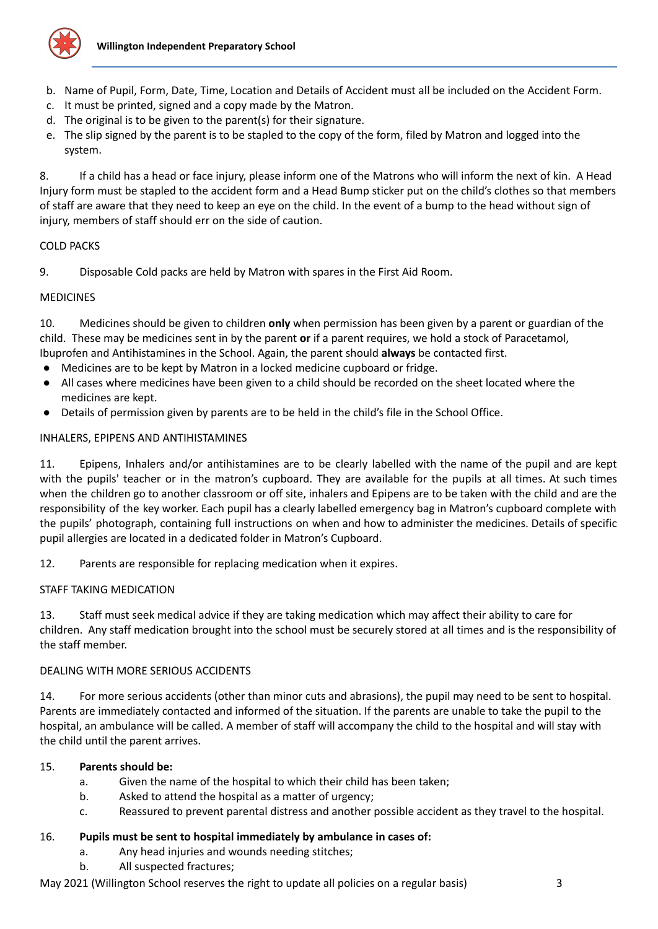

- b. Name of Pupil, Form, Date, Time, Location and Details of Accident must all be included on the Accident Form.
- c. It must be printed, signed and a copy made by the Matron.
- d. The original is to be given to the parent(s) for their signature.
- e. The slip signed by the parent is to be stapled to the copy of the form, filed by Matron and logged into the system.

8. If a child has a head or face injury, please inform one of the Matrons who will inform the next of kin. A Head Injury form must be stapled to the accident form and a Head Bump sticker put on the child's clothes so that members of staff are aware that they need to keep an eye on the child. In the event of a bump to the head without sign of injury, members of staff should err on the side of caution.

# COLD PACKS

9. Disposable Cold packs are held by Matron with spares in the First Aid Room.

# **MEDICINES**

10. Medicines should be given to children **only** when permission has been given by a parent or guardian of the child. These may be medicines sent in by the parent **or** if a parent requires, we hold a stock of Paracetamol, Ibuprofen and Antihistamines in the School. Again, the parent should **always** be contacted first.

- Medicines are to be kept by Matron in a locked medicine cupboard or fridge.
- All cases where medicines have been given to a child should be recorded on the sheet located where the medicines are kept.
- Details of permission given by parents are to be held in the child's file in the School Office.

# INHALERS, EPIPENS AND ANTIHISTAMINES

11. Epipens, Inhalers and/or antihistamines are to be clearly labelled with the name of the pupil and are kept with the pupils' teacher or in the matron's cupboard. They are available for the pupils at all times. At such times when the children go to another classroom or off site, inhalers and Epipens are to be taken with the child and are the responsibility of the key worker. Each pupil has a clearly labelled emergency bag in Matron's cupboard complete with the pupils' photograph, containing full instructions on when and how to administer the medicines. Details of specific pupil allergies are located in a dedicated folder in Matron's Cupboard.

12. Parents are responsible for replacing medication when it expires.

# STAFF TAKING MEDICATION

13. Staff must seek medical advice if they are taking medication which may affect their ability to care for children. Any staff medication brought into the school must be securely stored at all times and is the responsibility of the staff member.

# DEALING WITH MORE SERIOUS ACCIDENTS

14. For more serious accidents (other than minor cuts and abrasions), the pupil may need to be sent to hospital. Parents are immediately contacted and informed of the situation. If the parents are unable to take the pupil to the hospital, an ambulance will be called. A member of staff will accompany the child to the hospital and will stay with the child until the parent arrives.

# 15. **Parents should be:**

- a. Given the name of the hospital to which their child has been taken;
- b. Asked to attend the hospital as a matter of urgency;
- c. Reassured to prevent parental distress and another possible accident as they travel to the hospital.

# 16. **Pupils must be sent to hospital immediately by ambulance in cases of:**

- a. Any head injuries and wounds needing stitches;
- b. All suspected fractures;

May 2021 (Willington School reserves the right to update all policies on a regular basis) 3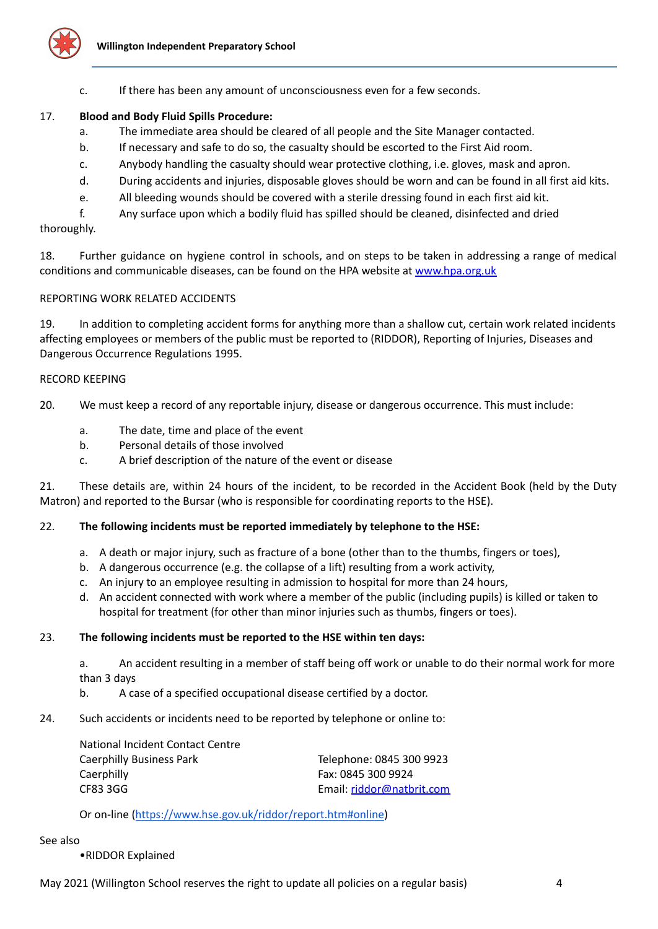

c. If there has been any amount of unconsciousness even for a few seconds.

#### 17. **Blood and Body Fluid Spills Procedure:**

- a. The immediate area should be cleared of all people and the Site Manager contacted.
- b. If necessary and safe to do so, the casualty should be escorted to the First Aid room.
- c. Anybody handling the casualty should wear protective clothing, i.e. gloves, mask and apron.
- d. During accidents and injuries, disposable gloves should be worn and can be found in all first aid kits.
- e. All bleeding wounds should be covered with a sterile dressing found in each first aid kit.

f. Any surface upon which a bodily fluid has spilled should be cleaned, disinfected and dried

#### thoroughly.

18. Further guidance on hygiene control in schools, and on steps to be taken in addressing a range of medical conditions and communicable diseases, can be found on the HPA website at [www.hpa.org.uk](http://www.hpa.org.uk)

#### REPORTING WORK RELATED ACCIDENTS

19. In addition to completing accident forms for anything more than a shallow cut, certain work related incidents affecting employees or members of the public must be reported to (RIDDOR), Reporting of Injuries, Diseases and Dangerous Occurrence Regulations 1995.

#### RECORD KEEPING

20. We must keep a record of any reportable injury, disease or dangerous occurrence. This must include:

- a. The date, time and place of the event
- b. Personal details of those involved
- c. A brief description of the nature of the event or disease

21. These details are, within 24 hours of the incident, to be recorded in the Accident Book (held by the Duty Matron) and reported to the Bursar (who is responsible for coordinating reports to the HSE).

#### 22. **The following incidents must be reported immediately by telephone to the HSE:**

- a. A death or major injury, such as fracture of a bone (other than to the thumbs, fingers or toes),
- b. A dangerous occurrence (e.g. the collapse of a lift) resulting from a work activity,
- c. An injury to an employee resulting in admission to hospital for more than 24 hours,
- d. An accident connected with work where a member of the public (including pupils) is killed or taken to hospital for treatment (for other than minor injuries such as thumbs, fingers or toes).

#### 23. **The following incidents must be reported to the HSE within ten days:**

a. An accident resulting in a member of staff being off work or unable to do their normal work for more than 3 days

- b. A case of a specified occupational disease certified by a doctor.
- 24. Such accidents or incidents need to be reported by telephone or online to:

| Telephone: 0845 300 9923  |
|---------------------------|
| Fax: 0845 300 9924        |
| Email: riddor@natbrit.com |
|                           |

Or on-line (<https://www.hse.gov.uk/riddor/report.htm#online>)

#### See also

•RIDDOR Explained

May 2021 (Willington School reserves the right to update all policies on a regular basis) 4